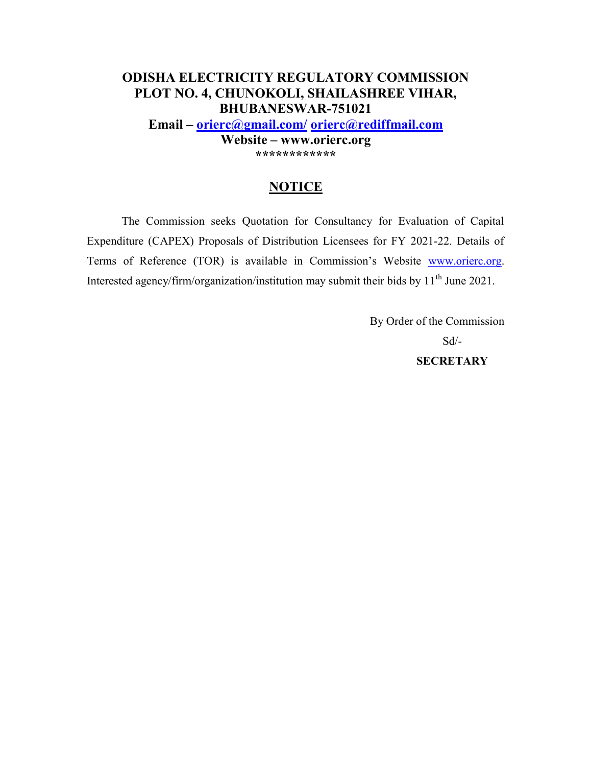# **ODISHA ELECTRICITY REGULATORY COMMISSION PLOT NO. 4, CHUNOKOLI, SHAILASHREE VIHAR, BHUBANESWAR-751021**

**Email – orierc@gmail.com/ orierc@rediffmail.com**

**Website – www.orierc.org \*\*\*\*\*\*\*\*\*\*\*\*** 

# **NOTICE**

The Commission seeks Quotation for Consultancy for Evaluation of Capital Expenditure (CAPEX) Proposals of Distribution Licensees for FY 2021-22. Details of Terms of Reference (TOR) is available in Commission's Website www.orierc.org. Interested agency/firm/organization/institution may submit their bids by 11<sup>th</sup> June 2021.

> By Order of the Commission Sd/- **SECRETARY**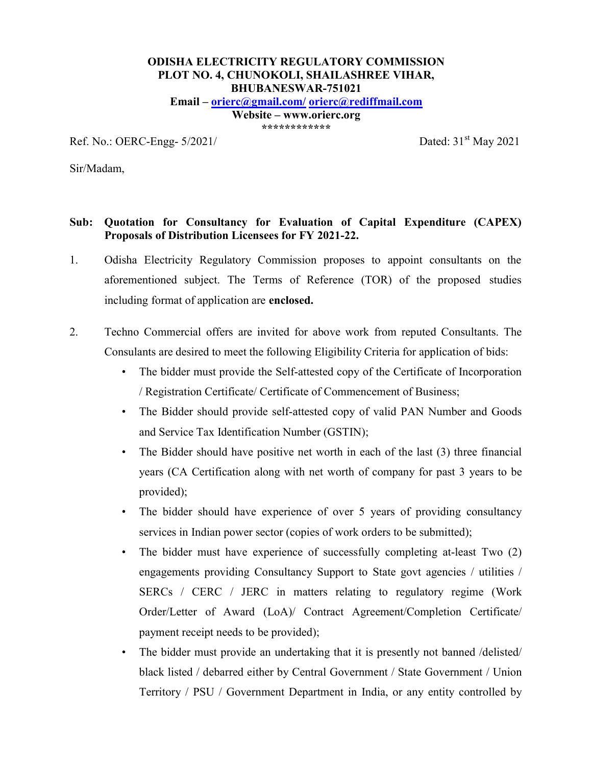# **ODISHA ELECTRICITY REGULATORY COMMISSION PLOT NO. 4, CHUNOKOLI, SHAILASHREE VIHAR, BHUBANESWAR-751021**

**Email – orierc@gmail.com/ orierc@rediffmail.com**

**Website – www.orierc.org \*\*\*\*\*\*\*\*\*\*\*\*** 

Ref. No.: OERC-Engg-  $5/2021/$  Dated:  $31<sup>st</sup>$  May 2021

Sir/Madam,

## **Sub: Quotation for Consultancy for Evaluation of Capital Expenditure (CAPEX) Proposals of Distribution Licensees for FY 2021-22.**

- 1. Odisha Electricity Regulatory Commission proposes to appoint consultants on the aforementioned subject. The Terms of Reference (TOR) of the proposed studies including format of application are **enclosed.**
- 2. Techno Commercial offers are invited for above work from reputed Consultants. The Consulants are desired to meet the following Eligibility Criteria for application of bids:
	- The bidder must provide the Self-attested copy of the Certificate of Incorporation / Registration Certificate/ Certificate of Commencement of Business;
	- The Bidder should provide self-attested copy of valid PAN Number and Goods and Service Tax Identification Number (GSTIN);
	- The Bidder should have positive net worth in each of the last (3) three financial years (CA Certification along with net worth of company for past 3 years to be provided);
	- The bidder should have experience of over 5 years of providing consultancy services in Indian power sector (copies of work orders to be submitted);
	- The bidder must have experience of successfully completing at-least Two (2) engagements providing Consultancy Support to State govt agencies / utilities / SERCs / CERC / JERC in matters relating to regulatory regime (Work Order/Letter of Award (LoA)/ Contract Agreement/Completion Certificate/ payment receipt needs to be provided);
	- The bidder must provide an undertaking that it is presently not banned /delisted/ black listed / debarred either by Central Government / State Government / Union Territory / PSU / Government Department in India, or any entity controlled by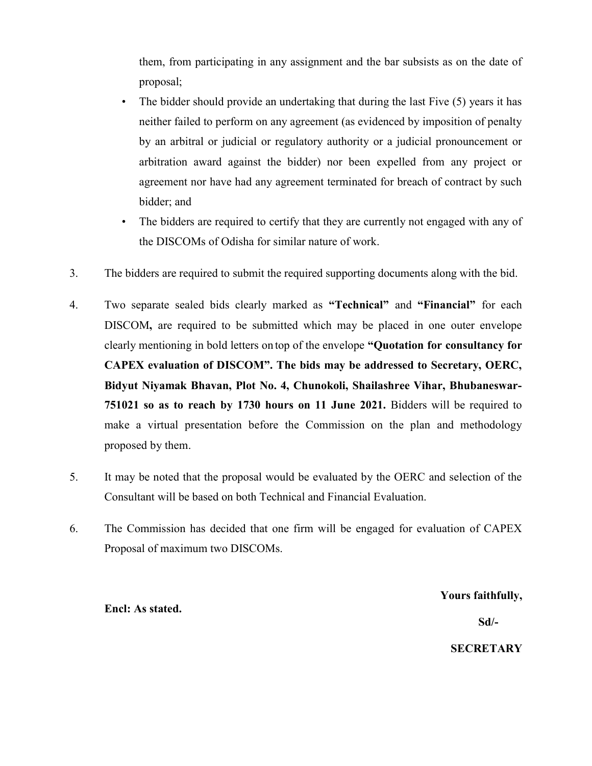them, from participating in any assignment and the bar subsists as on the date of proposal;

- The bidder should provide an undertaking that during the last Five (5) years it has neither failed to perform on any agreement (as evidenced by imposition of penalty by an arbitral or judicial or regulatory authority or a judicial pronouncement or arbitration award against the bidder) nor been expelled from any project or agreement nor have had any agreement terminated for breach of contract by such bidder; and
- The bidders are required to certify that they are currently not engaged with any of the DISCOMs of Odisha for similar nature of work.
- 3. The bidders are required to submit the required supporting documents along with the bid.
- 4. Two separate sealed bids clearly marked as **"Technical"** and **"Financial"** for each DISCOM**,** are required to be submitted which may be placed in one outer envelope clearly mentioning in bold letters on top of the envelope **"Quotation for consultancy for CAPEX evaluation of DISCOM". The bids may be addressed to Secretary, OERC, Bidyut Niyamak Bhavan, Plot No. 4, Chunokoli, Shailashree Vihar, Bhubaneswar-751021 so as to reach by 1730 hours on 11 June 2021.** Bidders will be required to make a virtual presentation before the Commission on the plan and methodology proposed by them.
- 5. It may be noted that the proposal would be evaluated by the OERC and selection of the Consultant will be based on both Technical and Financial Evaluation.
- 6. The Commission has decided that one firm will be engaged for evaluation of CAPEX Proposal of maximum two DISCOMs.

#### **Yours faithfully,**

#### **Sd/-**

#### **SECRETARY**

**Encl: As stated.**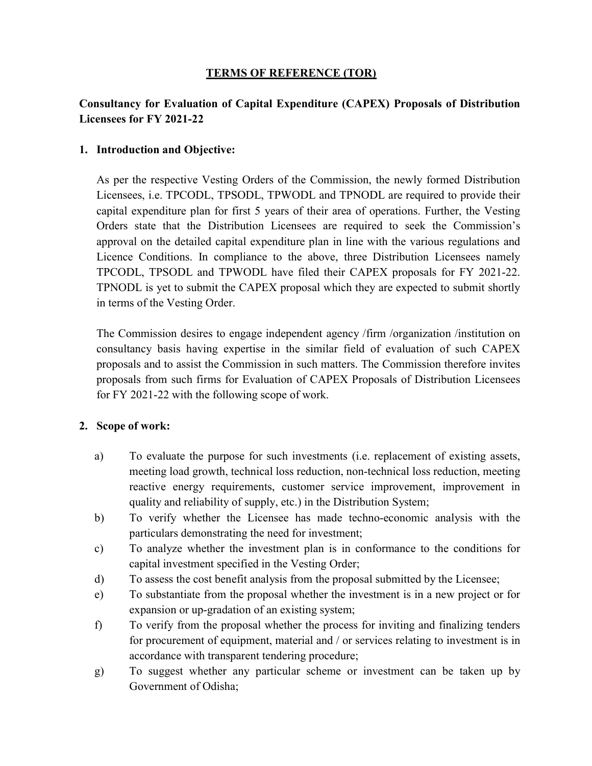#### **TERMS OF REFERENCE (TOR)**

# **Consultancy for Evaluation of Capital Expenditure (CAPEX) Proposals of Distribution Licensees for FY 2021-22**

#### **1. Introduction and Objective:**

As per the respective Vesting Orders of the Commission, the newly formed Distribution Licensees, i.e. TPCODL, TPSODL, TPWODL and TPNODL are required to provide their capital expenditure plan for first 5 years of their area of operations. Further, the Vesting Orders state that the Distribution Licensees are required to seek the Commission's approval on the detailed capital expenditure plan in line with the various regulations and Licence Conditions. In compliance to the above, three Distribution Licensees namely TPCODL, TPSODL and TPWODL have filed their CAPEX proposals for FY 2021-22. TPNODL is yet to submit the CAPEX proposal which they are expected to submit shortly in terms of the Vesting Order.

The Commission desires to engage independent agency /firm /organization /institution on consultancy basis having expertise in the similar field of evaluation of such CAPEX proposals and to assist the Commission in such matters. The Commission therefore invites proposals from such firms for Evaluation of CAPEX Proposals of Distribution Licensees for FY 2021-22 with the following scope of work.

#### **2. Scope of work:**

- a) To evaluate the purpose for such investments (i.e. replacement of existing assets, meeting load growth, technical loss reduction, non-technical loss reduction, meeting reactive energy requirements, customer service improvement, improvement in quality and reliability of supply, etc.) in the Distribution System;
- b) To verify whether the Licensee has made techno-economic analysis with the particulars demonstrating the need for investment;
- c) To analyze whether the investment plan is in conformance to the conditions for capital investment specified in the Vesting Order;
- d) To assess the cost benefit analysis from the proposal submitted by the Licensee;
- e) To substantiate from the proposal whether the investment is in a new project or for expansion or up-gradation of an existing system;
- f) To verify from the proposal whether the process for inviting and finalizing tenders for procurement of equipment, material and / or services relating to investment is in accordance with transparent tendering procedure;
- g) To suggest whether any particular scheme or investment can be taken up by Government of Odisha;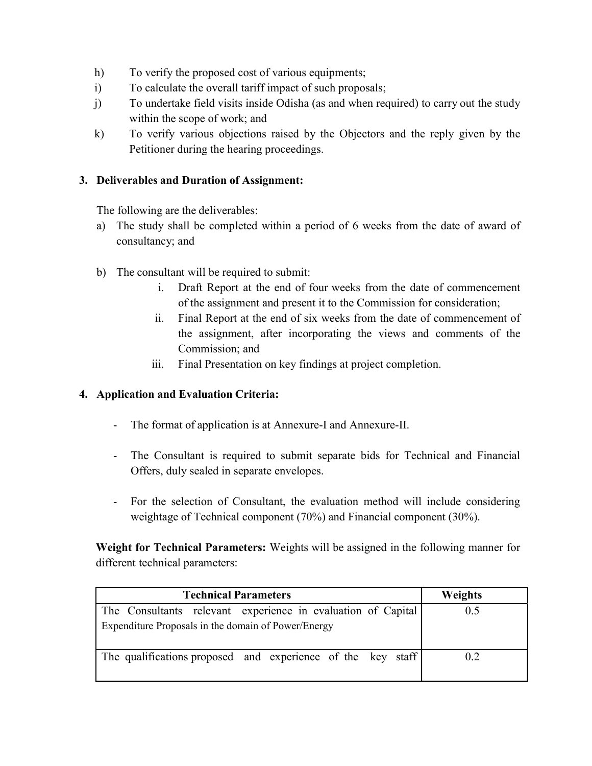- h) To verify the proposed cost of various equipments;
- i) To calculate the overall tariff impact of such proposals;
- j) To undertake field visits inside Odisha (as and when required) to carry out the study within the scope of work; and
- k) To verify various objections raised by the Objectors and the reply given by the Petitioner during the hearing proceedings.

## **3. Deliverables and Duration of Assignment:**

The following are the deliverables:

- a) The study shall be completed within a period of 6 weeks from the date of award of consultancy; and
- b) The consultant will be required to submit:
	- i. Draft Report at the end of four weeks from the date of commencement of the assignment and present it to the Commission for consideration;
	- ii. Final Report at the end of six weeks from the date of commencement of the assignment, after incorporating the views and comments of the Commission; and
	- iii. Final Presentation on key findings at project completion.

#### **4. Application and Evaluation Criteria:**

- The format of application is at Annexure-I and Annexure-II.
- The Consultant is required to submit separate bids for Technical and Financial Offers, duly sealed in separate envelopes.
- For the selection of Consultant, the evaluation method will include considering weightage of Technical component (70%) and Financial component (30%).

**Weight for Technical Parameters:** Weights will be assigned in the following manner for different technical parameters:

| <b>Technical Parameters</b>                                  | <b>Weights</b> |
|--------------------------------------------------------------|----------------|
| The Consultants relevant experience in evaluation of Capital | 0.5            |
| Expenditure Proposals in the domain of Power/Energy          |                |
| The qualifications proposed and experience of the key staff  | 0.2            |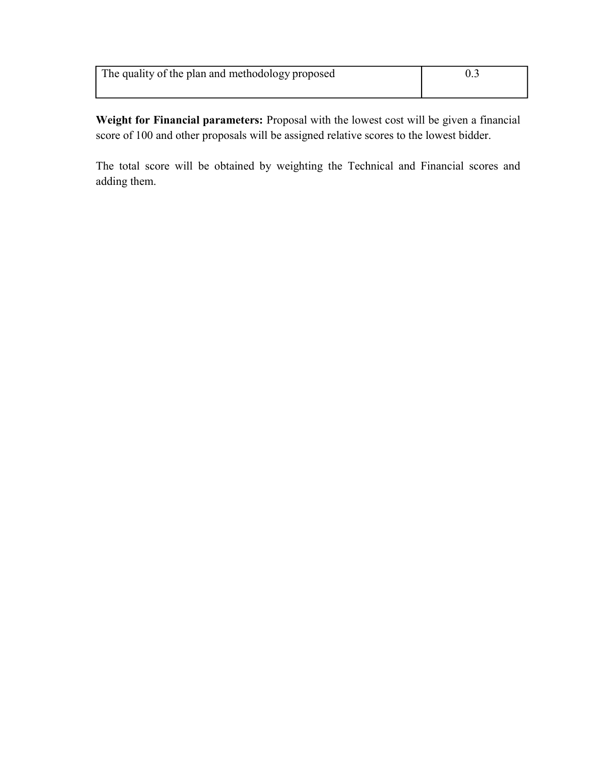| The quality of the plan and methodology proposed |  |
|--------------------------------------------------|--|
|                                                  |  |

**Weight for Financial parameters:** Proposal with the lowest cost will be given a financial score of 100 and other proposals will be assigned relative scores to the lowest bidder.

The total score will be obtained by weighting the Technical and Financial scores and adding them.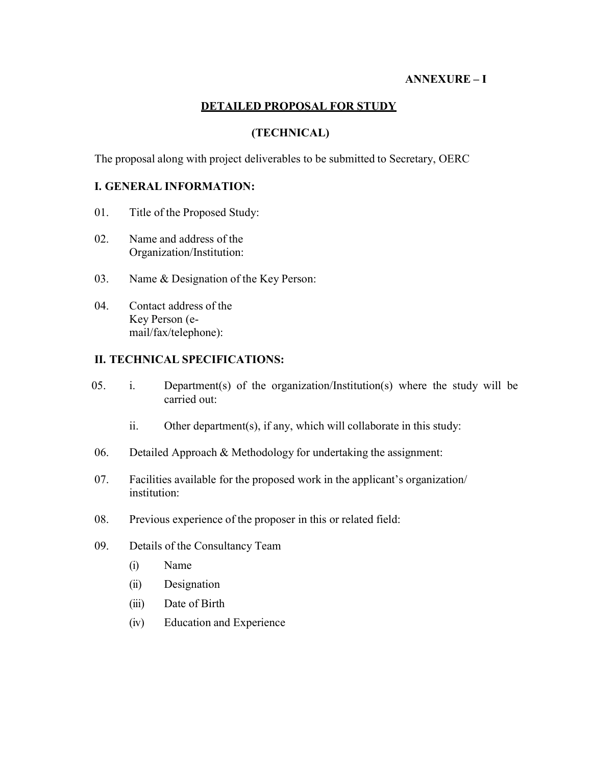#### **ANNEXURE – I**

## **DETAILED PROPOSAL FOR STUDY**

## **(TECHNICAL)**

The proposal along with project deliverables to be submitted to Secretary, OERC

#### **I. GENERAL INFORMATION:**

- 01. Title of the Proposed Study:
- 02. Name and address of the Organization/ Institution:
- 03. Name & Designation of the Key Person:
- 04. Contact address of the Key Person (email/fax/telephone):

#### **II. TECHNICAL SPECIFICATIONS:**

- 05. i. Department(s) of the organization/Institution(s) where the study will be carried out:
	- ii. Other department(s), if any, which will collaborate in this study:
- 06. Detailed Approach  $&$  Methodology for undertaking the assignment:
- 07. Facilities available for the proposed work in the applicant's organization/ institution:
- 08. Previous experience of the proposer in this or related field:
- 09. Details of the Consultancy Team
	- (i) Name
	- (ii) Designation
	- (iii) Date of Birth
	- (iv) Education and Experience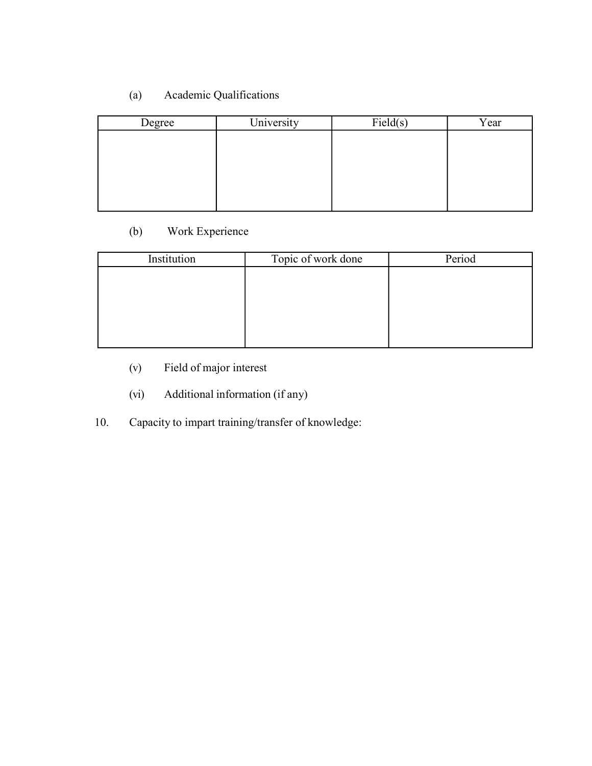# (a) Academic Qualifications

| Degree | University | Field(s) | Year |
|--------|------------|----------|------|
|        |            |          |      |
|        |            |          |      |
|        |            |          |      |
|        |            |          |      |
|        |            |          |      |

# (b) Work Experience

| Institution | Topic of work done | Period |
|-------------|--------------------|--------|
|             |                    |        |
|             |                    |        |
|             |                    |        |
|             |                    |        |
|             |                    |        |

- (v) Field of major interest
- (vi) Additional information (if any)
- 10. Capacity to impart training/transfer of knowledge: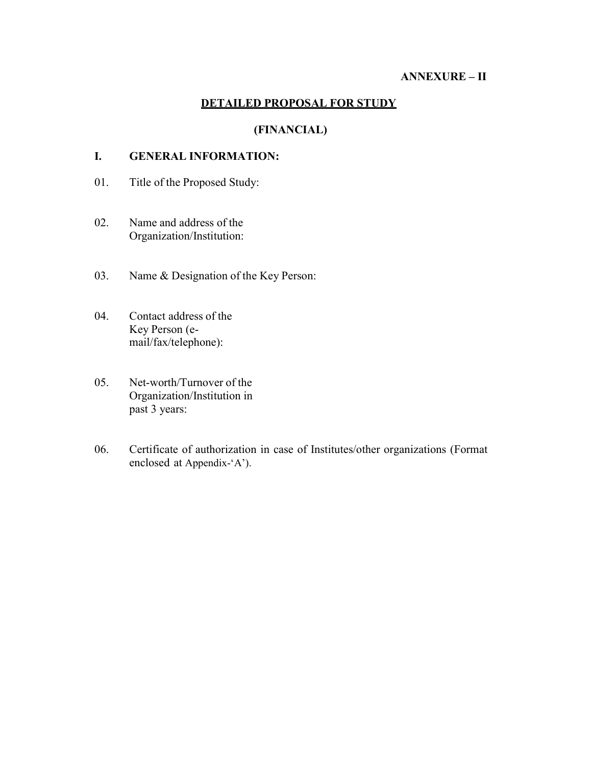#### **ANNEXURE – II**

#### **DETAILED PROPOSAL FOR STUDY**

# **(FINANCIAL)**

# **I. GENERAL INFORMATION:**

- 01. Title of the Proposed Study:
- 02. Name and address of the Organization/Institution:
- 03. Name & Designation of the Key Person:
- 04. Contact address of the Key Person (email/fax/telephone):
- 05. Net-worth/Turnover of the Organization/Institution in past 3 years:
- 06. Certificate of authorization in case of Institutes/other organizations (Format enclosed at Appendix-'A').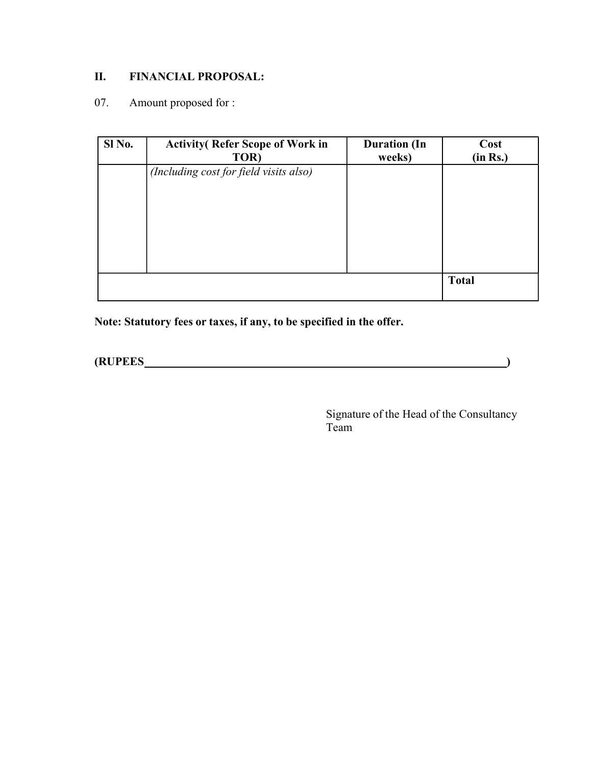# **II. FINANCIAL PROPOSAL:**

# 07. Amount proposed for :

| Sl No. | <b>Activity</b> (Refer Scope of Work in<br>TOR) | <b>Duration</b> (In<br>weeks) | Cost<br>(in Rs.) |
|--------|-------------------------------------------------|-------------------------------|------------------|
|        | (Including cost for field visits also)          |                               |                  |
|        |                                                 |                               |                  |
|        |                                                 |                               |                  |
|        |                                                 |                               |                  |
|        |                                                 |                               | <b>Total</b>     |

**Note: Statutory fees or taxes, if any, to be specified in the offer.** 

**(RUPEES )** 

Signature of the Head of the Consultancy Team